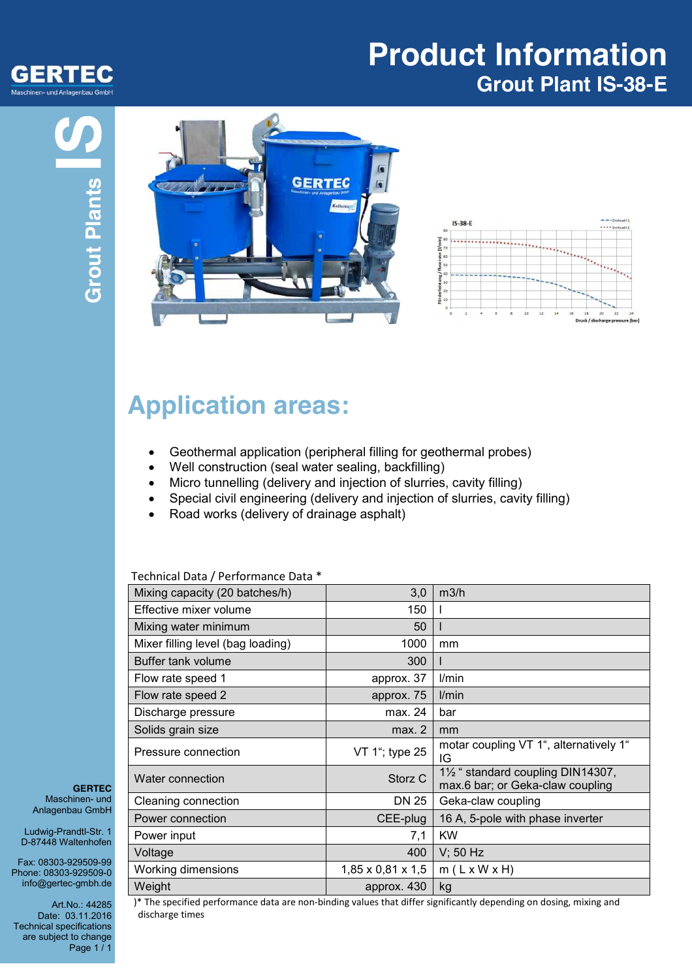

## **Product Information Grout Plant IS-38-E**





# **Application areas:**

- Geothermal application (peripheral filling for geothermal probes)
- Well construction (seal water sealing, backfilling)
- Micro tunnelling (delivery and injection of slurries, cavity filling)
- Special civil engineering (delivery and injection of slurries, cavity filling)
- Road works (delivery of drainage asphalt)

| Mixing capacity (20 batches/h)    | 3,0                           | m3/h                                                                 |
|-----------------------------------|-------------------------------|----------------------------------------------------------------------|
| Effective mixer volume            | 150                           |                                                                      |
| Mixing water minimum              | 50                            |                                                                      |
| Mixer filling level (bag loading) | 1000                          | mm                                                                   |
| Buffer tank volume                | 300                           |                                                                      |
| Flow rate speed 1                 | approx. 37                    | l/min                                                                |
| Flow rate speed 2                 | approx. 75                    | l/min                                                                |
| Discharge pressure                | max. 24                       | bar                                                                  |
| Solids grain size                 | max. 2                        | mm                                                                   |
| Pressure connection               | VT 1"; type 25                | motar coupling VT 1", alternatively 1"<br>IG                         |
| Water connection                  | Storz <sub>C</sub>            | 1½ " standard coupling DIN14307,<br>max.6 bar; or Geka-claw coupling |
| Cleaning connection               | DN 25                         | Geka-claw coupling                                                   |
| Power connection                  | CEE-plug                      | 16 A, 5-pole with phase inverter                                     |
| Power input                       | 7,1                           | <b>KW</b>                                                            |
| Voltage                           | 400                           | $V$ ; 50 Hz                                                          |
| <b>Working dimensions</b>         | $1,85 \times 0,81 \times 1,5$ | $m(L \times W \times H)$                                             |
| Weight                            | approx. 430                   | kg                                                                   |

#### Technical Data / Performance Data \*

**GERTEC** Maschinen- und Anlagenbau GmbH

Ludwig-Prandtl-Str. 1 D-87448 Waltenhofen

Fax: 08303-929509-99 Phone: 08303-929509-0 info@gertec-gmbh.de

Art.No.: 44285 Date: 03.11.2016 Technical specifications are subject to change Page 1 / 1

)\* The specified performance data are non-binding values that differ significantly depending on dosing, mixing and discharge times